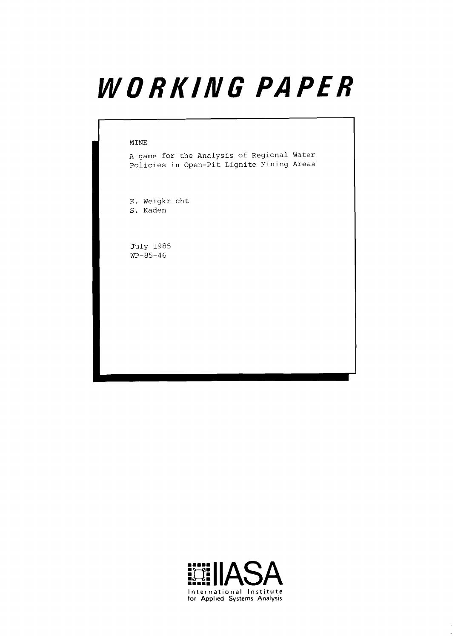# WORKING PAPER

#### **MINE**

**A game for the Analysis of Regional Water Policies in Open-Pit Lignite Mining Areas** 

**E. Weigkricht S. Kaden** 

**July 1985 'WP-85-46** 

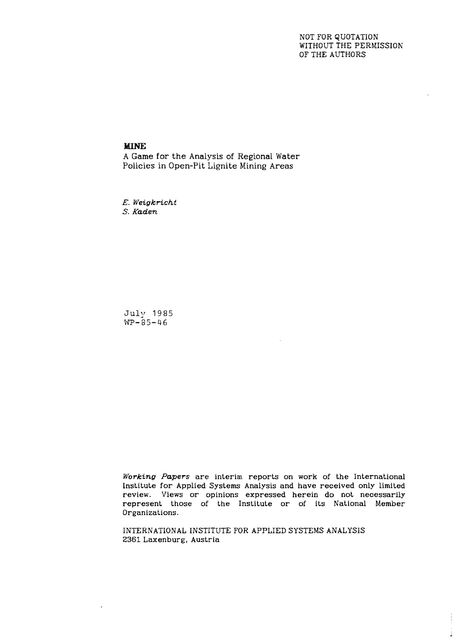# NOT FOR QUOTATION WITHOUT THE PERMISSION OF THE AUTHORS

# **MINE**

A Game for the Analysis of Regional Water Policies in Open-Pit Lignite Mining Areas

*E. Weigkricht S. Kaden* 

July 1985  $WP-85-46$ 

÷,

*Working Papers* are interim reports on work of the International Institute for Applied Systems Analysis and have received only limited review. Views or opinions expressed herein do not necessarily represent those of the Institute or of its National Member Organizations.

INTERNATIONAL INSTITUTE FOR APPLIED SYSTEMS ANALYSIS 2361 Laxenburg, Austria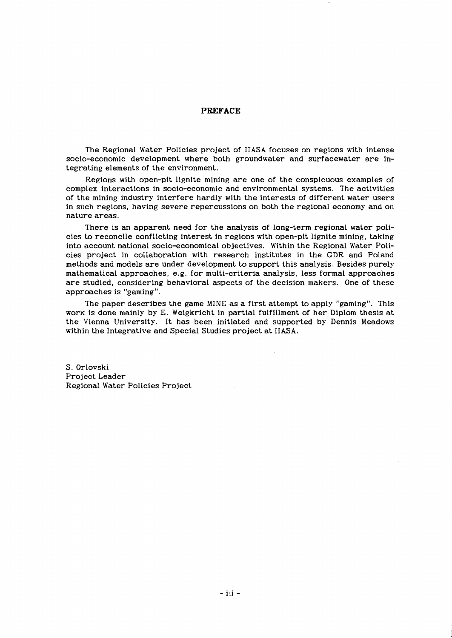#### **PREFACE**

The Regional Water Policies project of IIASA focuses on regions with intense socio-economic development where both groundwater and surfacewater are integrating elements of the environment.

Regions with open-pit lignite mining are one of the conspicuous examples of complex interactions in socio-economic and environmental systems. The activities of the mining industry interfere hardly with the interests of different water users in such regions, having severe repercussions on both the regional economy and on nature areas.

There is an apparent need for the analysis of long-term regional water policies to reconcile conflicting interest in regions with open-pit lignite mining, taking into account national socio-economical objectives. Within the Regional Water Policies project in collaboration with research institutes in the GDR and Poland methods and models are under development to support this analysis. Besides purely mathematical approaches, e.g. for multi-criteria analysis, less formal approaches are studied, considering behavioral aspects of the decision makers. One of these approaches is "gaming".

The paper describes the game MINE as a first attempt to apply "gaming". This work is done mainly by E. Weigkricht in partial fulfillment of her Diplom thesis at the Vienna University. It has been initiated and supported by Dennis Meadows within the Integrative and Special Studies project at IIASA.

S. Orlovski Project Leader Regional Water Policies Project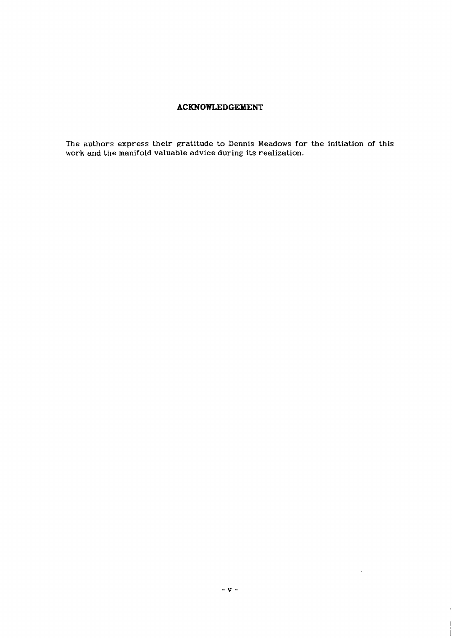# **ACKNOWLEDGEMENT**

 $\mathbb{Z}$ 

The authors express their gratitude to Dennis Meadows for the initiation of this work and the manifold valuable advice during its realization.

 $\sim$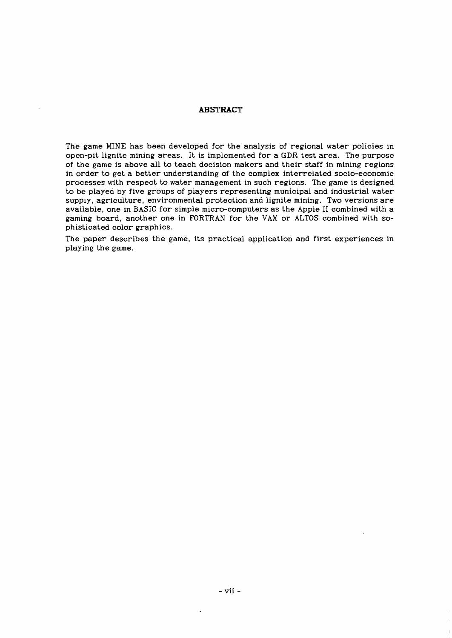# **ABSTRACT**

The game MINE has been developed for the analysis of regional water policies in open-pit lignite mining areas. It is implemented for a GDR test area. The purpose of the game is above all to teach decision makers and their staff in mining regions in order to get a better understanding of the complex interrelated socio-economic processes with respect to water management in such regions. The game is designed to be played by five groups of players representing municipal and industrial water supply, agriculture, environmental protection and lignite mining. Two versions are available, one in BASIC for simple micro-computers as the Apple I1 combined with a gaming board, another one in FORTRAN for the VAX or ALTOS combined with sophisticated color graphics.

The paper describes the game, its practical application and first experiences in playing the game.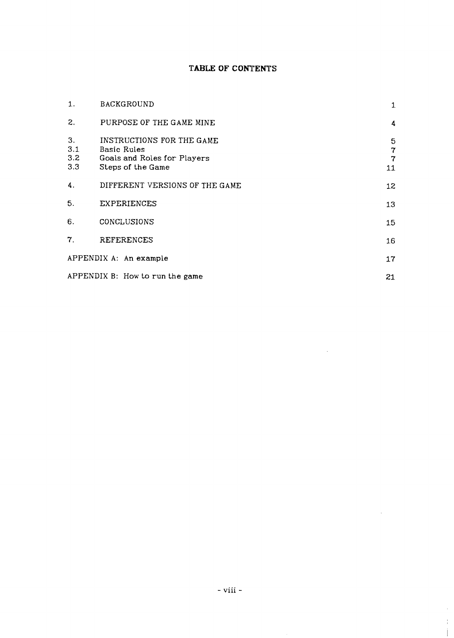# **TABLE OF CONTENTS**

| 1.                      | <b>BACKGROUND</b>                                                                            | $\mathbf{1}$                          |
|-------------------------|----------------------------------------------------------------------------------------------|---------------------------------------|
| 2.                      | PURPOSE OF THE GAME MINE                                                                     | 4                                     |
| 3.<br>3.1<br>3.2<br>3.3 | INSTRUCTIONS FOR THE GAME<br>Basic Rules<br>Goals and Roles for Players<br>Steps of the Game | 5<br>$\mathbf 7$<br>$\mathbf 7$<br>11 |
| 4.                      | DIFFERENT VERSIONS OF THE GAME                                                               | 12                                    |
| 5.                      | <b>EXPERIENCES</b>                                                                           | 13                                    |
| 6.                      | CONCLUSIONS                                                                                  | 15                                    |
| 7.                      | <b>REFERENCES</b>                                                                            | 16                                    |
|                         | APPENDIX A: An example                                                                       | 17                                    |
|                         | APPENDIX B: How to run the game                                                              | 21                                    |

 $\sim 10^{11}$  km  $^{-1}$ 

 $\mathcal{A}$ 

 $\bar{\tau}$  $\frac{1}{4}$  $\mathbf{I}$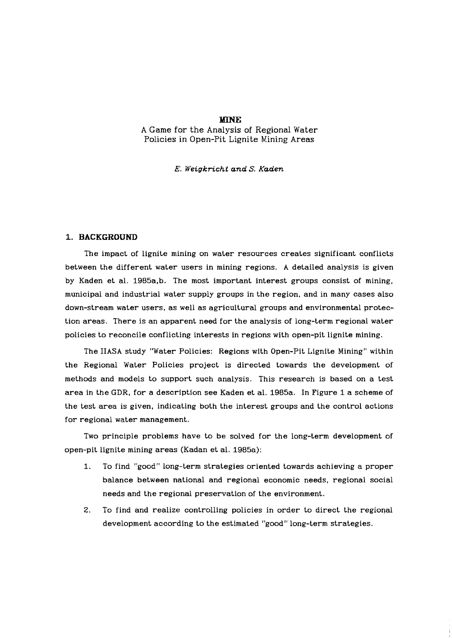#### **MINE**

A Game for the Analysis of Regional Water Policies in Open-Pit Lignite Mining Areas

## **E. Weigkricht and S. Kaden**

#### **1. BACKGROUND**

The impact of lignite mining on water resources creates significant conflicts between the different water users in mining regions. **A** detailed analysis is given by Kaden et al. 1985a,b. The most important interest groups consist of mining, municipal and industrial water supply groups in the region, and in many cases also down-stream water users, as well as agricultural groups and environmental protection areas. There is an apparent need for the analysis of long-term regional water policies to reconcile conflicting interests in regions with open-pit lignite mining.

The **IIASA** study "Water Policies: Regions with Open-Pit Lignite Mining" within the Regional Water Policies project is directed towards the development of methods and models to support such analysis. This research is based on a test area in the GDR, for a description see Kaden et al. 1985a. In Figure 1 a scheme of the test area is given, indicating both the interest groups and the control actions for regional water management.

Two principle problems have to be solved for the long-term development of open-pit lignite mining areas (Kadan et al. 1985a):

- 1. To find "good" long-term strategies oriented towards achieving a proper balance between national and regional economic needs, regional social needs and the regional preservation of the environment.
- **2.** To find and realize controlling policies in order to direct the regional development according to the estimated "good" long-term strategies.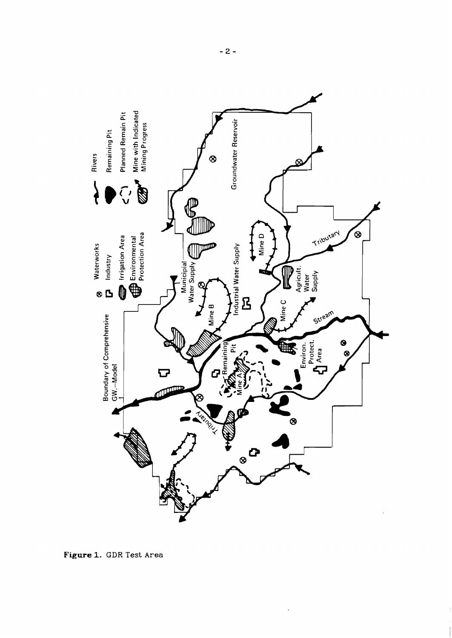

 $\ddot{\phantom{a}}$ 

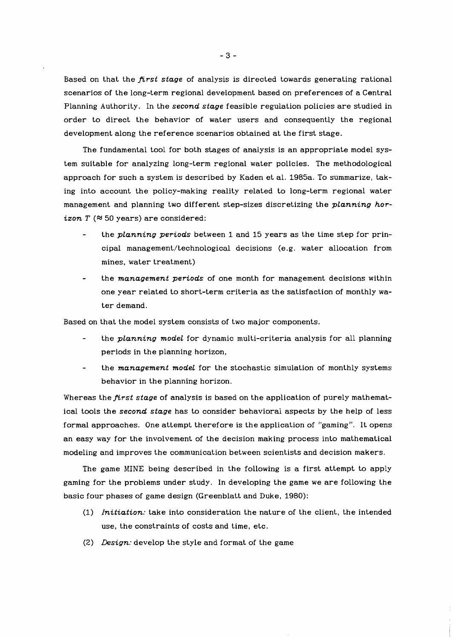Based on that the *first stage* of analysis is directed towards generating rational scenarios of the long-term regional development based on preferences of a Central Planning Authority. In the *second stage* feasible regulation policies are studied in order to direct the behavior of water users and consequently the regional development along the reference scenarios obtained at the first stage.

The fundamental tool for both stages of anaiysis is an appropriate model system suitable for analyzing long-term regional water policies. The methodological approach for such a system is described by Kaden et al. 1985a. To summarize, taking into account the policy-making reality related to long-term regional water management and planning two different step-sizes discretizing the *planning horizon T*  $(850 \text{ years})$  are considered:

- the *planning periods* between 1 and 15 years as the time step for principal **management/technological** decisions (e.g. water allocation from mines, water treatment)
- the *management periods* of one month for management decisions within one year related to short-term criteria as the satisfaction of monthly water demand.

Based on that the model system consists of two major components.

- the *planning model* for dynamic multi-criteria analysis for all planning periods in the planning horizon,
- the *management model* for the stochastic simulation of monthly systems behavior in the planning horizon.

Whereas the *first stage* of analysis is based on the application of purely mathematical tools the *second stage* has to consider behaviorai aspects by the help of less formal approaches. One attempt therefore is the application of "gaming". It opens an easy way for the involvement of the decision making process into mathematical modeling and improves the communication between scientists and decision makers.

The game MINE being described in the following is a first attempt to apply gaming for the problems under study. In developing the game we are following the basic four phases of game design (Greenblatt and Duke, 1980):

- (1) *Initiation:* take into consideration the nature of the client, the intended use, the constraints of costs and time, etc.
- *(2) Design:* develop the style and format of the game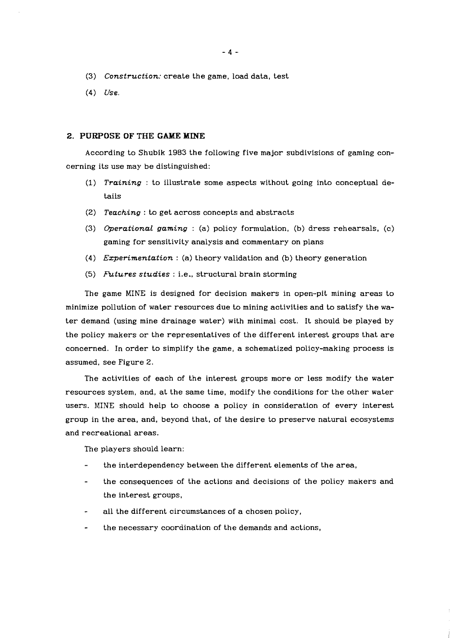- (3) *Construction:* create the game, load data, test
- (4) *Use.*

#### **2. PURPOSE OF THE GAME MINE**

According to Shubik 1983 the following five major subdivisions of gaming concerning its use may be distinguished:

- (1) *Training* : to illustrate some aspects without going into conceptual details
- (2) *Teaching* : to get across concepts and abstracts
- (3) *Operational gaming* : (a) policy formulation, (b) dress rehearsals, (c) gaming for sensitivity analysis and commentary on plans
- (4) *Experimentation* : (a) theory validation and (b) theory generation
- *(5) FLtures studies* : i.e., structural brain storming

The game MINE is designed for decision makers in open-pit mining areas to minimize pollution of water resources due to mining activities and to satisfy the water demand (using mine drainage water) with minimal cost. It should be played by the policy makers or the representatives of the different interest groups that are concerned. In order to simplify the game, a schematized policy-making process is assumed, see Figure 2.

The activities of each of the interest groups more or less modify the water resources system, and, at the same time, modify the conditions for the other water users. MINE should help to choose a policy in consideration of every interest group in the area, and, beyond that, of the desire to preserve natural ecosystems and recreational areas.

The players should learn:

- the interdependency between the different elements of the area,
- the consequences of the actions and decisions of the policy makers and the interest groups,
- all the different circumstances of a chosen policy,
- the necessary coordination of the demands and actions,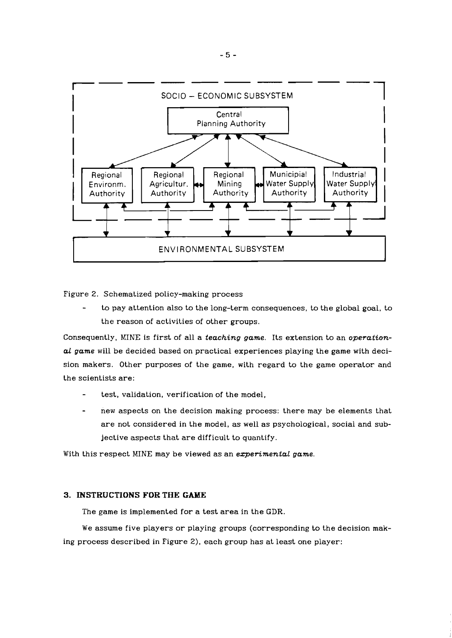

Figure 2. Schematized policy-making process

to pay attention also to the long-term consequences, to the global goal, to the reason of activities of other groups.

Consequently, MINE is first of all a *teaching game.* Its extension to an *operational game* will be decided based on practical experiences playing the game with decision makers. Other purposes of the game, with regard to the game operator and the scientists are:

- test, validation, verification of the model,
- new aspects on the decision making process: there may be elements that are not considered in the model, as well as psychological, social and subjective aspects that are difficult to quantify.

With this respect MINE may be viewed as an *ezperimental game.* 

# **3. INSTRUCTIONS FOR THE GAME**

The game is implemented for a test area in the **GDR.** 

We assume five players or playing groups (corresponding to the decision making process described in Figure 2), each group has at least one player: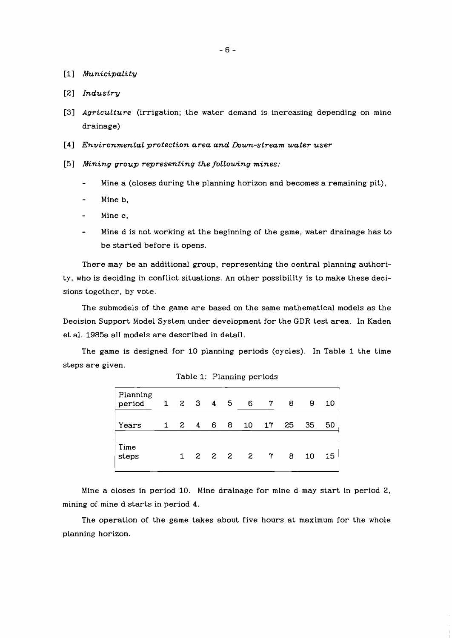- [I] *Municipality*
- [Z] *Industry*
- [3] *Agriculture* (irrigation; the water demand is increasing depending on mine drainage)
- [4] *Environmental protection area and Down-stream water user*
- [5] *Mining group representing the following mines:* 
	- Mine a (closes during the planning horizon and becomes a remaining pit),
	- Mineb,
	- Mine c,
	- Mine d is not working at the beginning of the game, water drainage has to be started before it opens.

There may be an additional group, representing the central planning authority, who is deciding in conflict situations. An other possibility is to make these decisions together, by vote.

The submodels of the game are based on the same mathematical models as the Decision Support Model System under development for the GDR test area. In Kaden et al. 1985a all models are described in detail.

The game is designed for 10 planning periods (cycles). In Table 1 the time steps are given.

| Planning<br>period | $1 \t2 \t3 \t4 \t5$ |   |                | 6    | $\sqrt{7}$     | 8  | 9  | 10 |
|--------------------|---------------------|---|----------------|------|----------------|----|----|----|
| Years              | $1 \quad 2 \quad 4$ | 6 | 8 <sup>1</sup> | 10   | 17             | 25 | 35 | 50 |
| Time<br>steps      | 1                   |   |                | 2222 | $\overline{7}$ | 8  | 10 | 15 |

|  |  |  | Table 1: Planning periods |
|--|--|--|---------------------------|
|--|--|--|---------------------------|

Mine a closes in period 10. Mine drainage for mine d may start in period 2, mining of mine d starts in period 4.

The operation of the game takes about five hours at maximum for the whole planning horizon.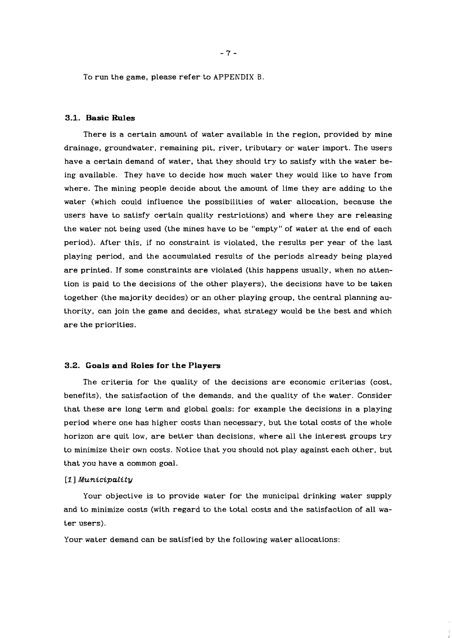To run the game, please refer to APPENDIX B.

# **3.1. Basic Rules**

There is a certain amount of water available in the region, provided by mine drainage, groundwater, remaining pit, river, tributary or water import. The users have a certain demand of water, that they should try to satisfy with the water being available. They have to decide how much water they would like to have from where. The mining people decide about the amount of lime they are adding to the water (which could influence the possibilities of water allocation, because the users have to satisfy certain quality restrictions) and where they are releasing the water not being used (the mines have to be "empty" of water at the end of each period). After this, if no constraint is violated, the results per year of the last playing period, and the accumulated results of the periods already being played are printed. If some constraints are violated (this happens usually, when no attention is paid to the decisions of the other players), the decisions have to be taken together (the majority decides) or an other playing group, the central planning authority, can join the game and decides, what strategy would be the best and which are the priorities.

#### **3.2. Goals and Roles for the Players**

The criteria for the quality of the decisions are economic criterias (cost, benefits), the satisfaction of the demands, and the quality of the water. Consider that these are long term and global goals: for example the decisions in a playing period where one has higher costs than necessary, but the total costs of the whole horizon are quit low, are better than decisions, where all the interest groups try to minimize their own costs. Notice that you should not play against each other, but that you have a common goal.

#### *[I] Municipality*

Your objective is to provide water for the municipal drinking water supply and to minimize costs (with regard to the total costs and the satisfaction of all water users).

Your water demand can be satisfied by the following water allocations: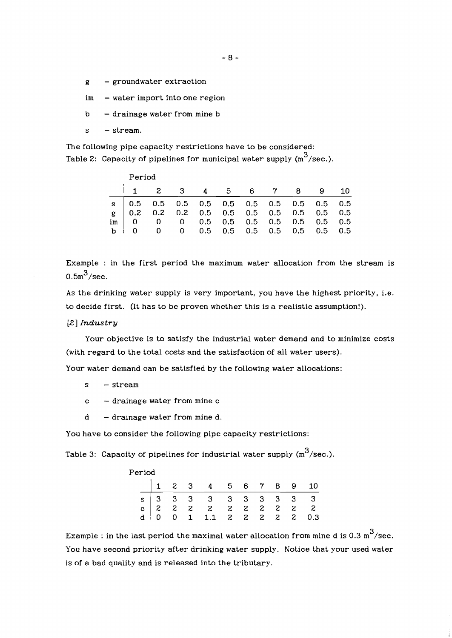- $g -$  groundwater extraction
- $im$  water import into one region
- $b d$ rainage water from mine b
- $s stream$ .

The following pipe capacity restrictions have to be considered: Table 2: Capacity of pipelines for municipal water supply  $(m^3/\text{sec.})$ .

|                           | Period                                        |  |  |  |  |  |                                 |  |      |  |  |  |
|---------------------------|-----------------------------------------------|--|--|--|--|--|---------------------------------|--|------|--|--|--|
|                           | $\overline{z}$                                |  |  |  |  |  | 3 4 5 6 7 8 9                   |  | -10- |  |  |  |
|                           |                                               |  |  |  |  |  |                                 |  |      |  |  |  |
|                           |                                               |  |  |  |  |  |                                 |  |      |  |  |  |
|                           | $\text{im}$ 0 0 0 0.5 0.5 0.5 0.5 0.5 0.5 0.5 |  |  |  |  |  |                                 |  |      |  |  |  |
| $\mathbf{A}$ $\mathbf{A}$ |                                               |  |  |  |  |  | 0 0 0.5 0.5 0.5 0.5 0.5 0.5 0.5 |  |      |  |  |  |

Example : in the first period the maximum water allocation from the stream is  $0.5 m^3$ /sec.

As the drinking water supply is very important, you have the highest priority, i.e. to decide first. (It has to be proven whether this is a realistic assumption!).

**[Z]** *Industry* 

Your objective is to satisfy the industrial water demand and to minimize costs (with regard to the total costs and the satisfaction of all water users).

Your water demand can be satisfied by the following water allocations:

s - stream

- <sup>c</sup> drainage water from mine c
- $d d$ rainage water from mine d.

You have to consider the following pipe capacity restrictions:

Table 3: Capacity of pipelines for industrial water supply  $(m^3/\text{sec.})$ .

| Period |  |  |  |                                                     |  |  |  |  |  |  |  |  |
|--------|--|--|--|-----------------------------------------------------|--|--|--|--|--|--|--|--|
|        |  |  |  | 1 2 3 4 5 6 7 8 9 10                                |  |  |  |  |  |  |  |  |
|        |  |  |  | S 3 3 3 3 3 3 3 3 3 3 3 4 0 0 1 1.1 2 2 2 2 2 2 0.3 |  |  |  |  |  |  |  |  |
|        |  |  |  |                                                     |  |  |  |  |  |  |  |  |
|        |  |  |  |                                                     |  |  |  |  |  |  |  |  |
|        |  |  |  |                                                     |  |  |  |  |  |  |  |  |

Example : in the last period the maximal water allocation from mine d is 0.3  $m<sup>3</sup>/sec$ . You have second priority after drinking water supply. Notice that your used water is of a bad quality and is released into the tributary.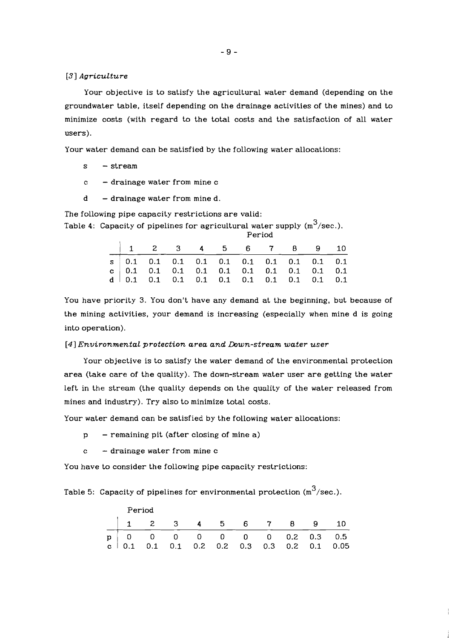#### *[3] Agriculture*

Your objective is to satisfy the agricultural water demand (depending on the groundwater table, itself depending on the drainage activities of the mines) and to minimize costs (with regard to the total costs and the satisfaction of all water users).

Your water demand can be satisfied by the following water allocations:

- s stream
- <sup>c</sup> drainage water from mine c
- $d d$ rainage water from mine d.

The following pipe capacity restrictions are valid:

Table 4: Capacity of pipelines for agricultural water supply  $(m^3/sec.).$ 

| Period |  |                        |  |  |  |  |  |  |  |  |
|--------|--|------------------------|--|--|--|--|--|--|--|--|
|        |  | $1$ 2 3 4 5 6 7 8 9 10 |  |  |  |  |  |  |  |  |
|        |  |                        |  |  |  |  |  |  |  |  |
|        |  |                        |  |  |  |  |  |  |  |  |
|        |  |                        |  |  |  |  |  |  |  |  |

You have priority **3.** You don't have any demand at the beginning, but because of the mining activities, your demand is increasing (especially when mine d is going into operation).

#### *[4] Environmental protection area and Down-stream water user*

Your objective is to satisfy the water demand of the environmental protection area (take care of the quality). The down-stream water user are getting the water left in the stream (the quality depends on the quality of the water released from mines and industry). Try also to minimize total costs.

Your water demand can be satisfied by the following water allocations:

- $p -$  remaining pit (after closing of mine a)
- $c -$  drainage water from mine  $c$

You have to consider the following pipe capacity restrictions:

Table 5: Capacity of pipelines for environmental protection  $(m^3/\text{sec.})$ .

|  | Period               |  |  |  |  |  |  |  |                                                                                                                                                           |  |  |  |
|--|----------------------|--|--|--|--|--|--|--|-----------------------------------------------------------------------------------------------------------------------------------------------------------|--|--|--|
|  | 1 2 3 4 5 6 7 8 9 10 |  |  |  |  |  |  |  |                                                                                                                                                           |  |  |  |
|  |                      |  |  |  |  |  |  |  | $\begin{array}{c ccccccccc}\np & 0 & 0 & 0 & 0 & 0 & 0 & 0 & 0.2 & 0.3 & 0.5 \ c & 0.1 & 0.1 & 0.1 & 0.2 & 0.2 & 0.3 & 0.3 & 0.2 & 0.1 & 0.05\end{array}$ |  |  |  |
|  |                      |  |  |  |  |  |  |  |                                                                                                                                                           |  |  |  |

 $\mathbf{r}$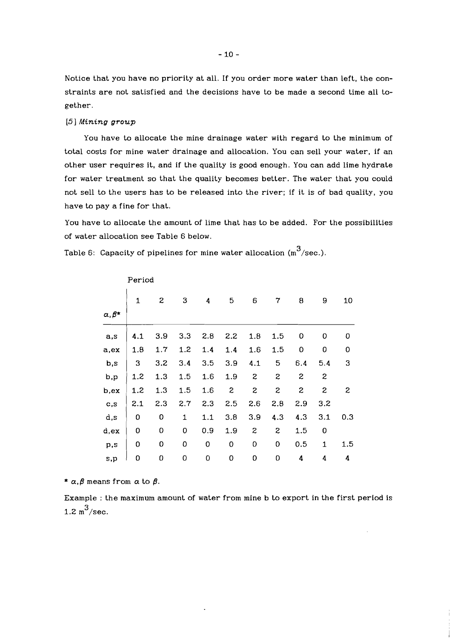Notice that you have no priority at all. If you order more water than left, the constraints are not satisfied and the decisions have to be made a second time all together.

## **[5]** *Mining group*

You have to allocate the mine drainage water with regard to the minimum of total costs for mine water drainage and allocation. You can sell your water, if an other user requires it, and if the quality is good enough. You can add lime hydrate for water treatment so that the quality becomes better. The water that you could not sell to the users has to be released into the river; if it is of bad quality, you have to pay a fine for that.

You have to allocate the amount of lime that has to be added. For the possibilities of water allocation see Table 6 below.

Table 6: Capacity of pipelines for mine water allocation  $(m^3/\text{sec.})$ .

|                   |              | Period |     |             |              |                  |                  |              |              |                  |  |  |  |
|-------------------|--------------|--------|-----|-------------|--------------|------------------|------------------|--------------|--------------|------------------|--|--|--|
|                   | $\mathbf{1}$ | 2      | 3   | 4           | 5            | 6                | 7                | 8            | 9            | 10               |  |  |  |
| $\alpha, \beta^*$ |              |        |     |             |              |                  |                  |              |              |                  |  |  |  |
| a,s               | 4.1          | 3.9    | 3.3 | 2.8         | 2.2          | 1.8              | 1.5              | 0            | 0            | 0                |  |  |  |
| a,ex              | 1.8          | 1.7    | 1.2 | 1.4         | 1.4          | 1.6              | 1.5              | 0            | 0            | 0                |  |  |  |
| b,s               | 3            | 3.2    | 3.4 | 3.5         | 3.9          | 4.1              | 5                | 6.4          | 5.4          | 3                |  |  |  |
| b,p               | 1.2          | 1.3    | 1.5 | 1.6         | 1.9          | $\boldsymbol{z}$ | $\boldsymbol{z}$ | $\mathbf{z}$ | $\mathbf{z}$ |                  |  |  |  |
| b,ex              | 1.2          | 1.3    | 1.5 | 1.6         | $\mathbf{z}$ | $\mathbf{z}$     | $\boldsymbol{z}$ | $\mathbf{z}$ | $\mathbf{z}$ | $\boldsymbol{z}$ |  |  |  |
| c,s               | 2.1          | 2.3    | 2.7 | 2.3         | 2.5          | 2.6              | 2.8              | 2.9          | 3.2          |                  |  |  |  |
| d,s               | 0            | 0      | 1   | 1.1         | 3.8          | 3.9              | 4.3              | 4.3          | 3.1          | 0.3              |  |  |  |
| d,ex              | 0            | 0      | 0   | 0.9         | 1.9          | $\boldsymbol{z}$ | $\boldsymbol{z}$ | 1.5          | 0            |                  |  |  |  |
| p,s               | 0            | 0      | 0   | $\mathbf 0$ | 0            | 0                | 0                | 0.5          | $\mathbf{1}$ | 1.5              |  |  |  |
| s,p               | $\mathbf 0$  | 0      | 0   | $\mathbf 0$ | 0            | 0                | 0                | 4            | 4            | 4                |  |  |  |

\*  $\alpha$ , $\beta$  means from  $\alpha$  to  $\beta$ .

Example : the maximum amount of water from mine b to export in the first period is 1.2  $m^3$ /sec.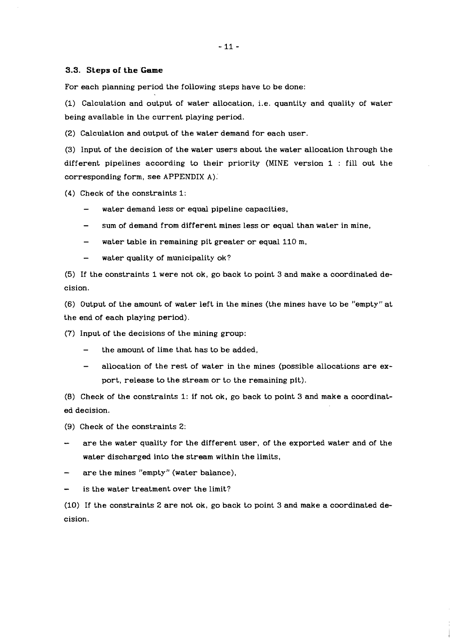#### **3.3. Steps** of **the 'Game**

For each planning period the following steps have to be done:

(1) Calculation and output of water allocation, i.e. quantity and quality of water being available in the current playing period.

(2) Calculation and output of the water demand for each user.

(3) Input of the decision of the water users about the water allocation through the different pipelines according to their priority (MINE version 1 : fill out the corresponding form, see APPENDIX A);

(4) Check of the constraints 1:

- water demand less or equal pipeline capacities,
- sum of demand from different mines less or equal than water in mine,
- water table in remaining pit greater or equal 110 m,
- water quality of municipality ok?

(5) If the constraints 1 were not ok, go back to point 3 and make a coordinated decision.

(6) Output of the amount of water left in the mines (the mines have to be "empty" at the end of each playing period).

(7) Input of the decisions of the mining group:

- the amount of lime that has to be added,
- allocation of the rest of water in the mines (possible allocations are export, release to the stream or to the remaining pit).

(8) Check of the constraints 1: if not ok, go back to point 3 and make a coordinated decision.

(9) Check of the constraints 2:

- are the water quality for the different user, of the exported water and of the water discharged into the stream within the limits,
- are the mines "empty" (water balance),
- is the water treatment over the limit?

(10) If the constraints 2 are not ok, go back to point 3 and make a coordinated decision.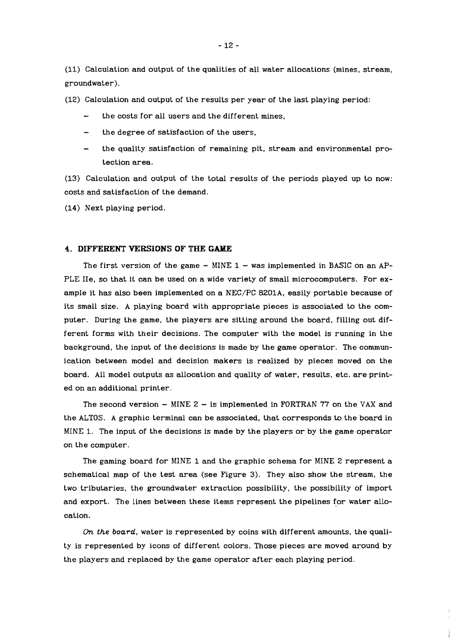(11) Calculation and output of the qualities of all water allocations (mines, stream, groundwater).

(12) Calculation and output of the results per year of the last playing period:

- the costs for all users and the different mines,
- the degree of satisfaction of the users,
- the quality satisfaction of remaining pit, stream and environmental protection area.

(13) Calculation and output of the total results of the periods played up to now: costs and satisfaction of the demand.

(14) Next playing period.

# **4. DIFFERENT VERSIONS OF THE GAME**

The first version of the game  $-$  MINE 1  $-$  was implemented in BASIC on an AP-PLE IIe, so that it can be used on a wide variety of small microcomputers. For example it has also been implemented on a NEC/PC 8201A, easily portable because of its small size. A playing board with appropriate pieces is associated to the computer. During the game, the players are sitting around the board, filling out different forms with their decisions. The computer with the model is running in the background, the input of the decisions is made by the game operator. The communication between model and decision makers is realized by pieces moved on the board. All model outputs as allocation and quality of water, results, etc. are printed on an additional printer.

The second version  $-$  MINE  $2 -$  is implemented in FORTRAN 77 on the VAX and the ALTOS. **A** graphic terminal can be associated, that corresponds **to** the board in MINE 1. The input of the decisions is made by the players or by the game operator on the computer.

The gaming board for MINE 1 and the graphic schema for MINE 2 represent a schematical map of the test area (see Figure 3). They also show the stream, the two tributaries, the groundwater extraction possibility, the possibility of import and export. The lines between these items represent the pipelines for water allocation.

On *the board,* water is represented by coins with different amounts, the quality is represented by icons of different colors. Those pieces are moved around by the players and replaced by the game operator after each playing period.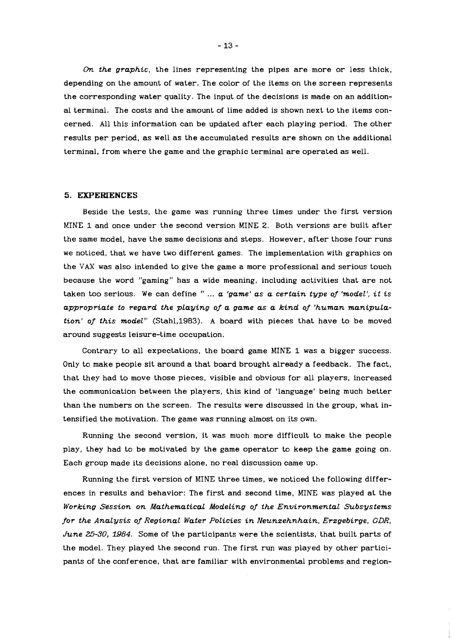Dn *the graphic,* the lines representing the pipes are more or less thick, depending on the amount of water. The color of the items on the screen represents the corresponding water quality. The input of the decisions is made on an additional terminal. The costs and the amount of lime added is shown next to the items concerned. All this information can be updated after each playing period. The other results per period, as well as the accumulated results are shown on the additional terminal, from where the game and the graphic terminal are operated as well.

#### **5. EXPERIENCES**

Beside the tests, the game was running three times under the first version MINE 1 and once under the second version MINE 2. Both versions are built after the same model, have the same decisions and steps. However, after those four runs we noticed, that we have two different games. The implementation with graphics on the VAX was also intended to give the game a more professional and serious touch because the word "gaming" has a wide meaning, including activities that are not taken too serious. We can define " ... *a 'game' as a certain type of 'model', it is*  appropriate to regard the playing of a game as a kind of 'human manipula*tion' of this model"* (Stah1,1983). A board with pieces that have to be moved around suggests leisure-time occupation.

Contrary to all expectations, the board game MINE 1 was a bigger success. Only to make people sit around a that board brought already a feedback. The fact, that they had to move those pieces, visible and obvious for all players, increased the communication between the players, this kind of 'language' being much better than the numbers on the screen. The results were discussed in the group, what intensified the motivation. The game was running almost on its own.

Running the second version, it was much more difficult to make the people play, they had to be motivated by the game operator to keep the game going on. Each group made its decisions alone, no real discussion came up.

Running the first version of MINE three times, we noticed the following differences in results and behavior: The first and second time, MINE was played at the *Working Session on Mathematical Modeling of the Environmental Subsystems for the Analysis of Regional Water PoLicies in Neunzehnhain, Erzgebirge, GDR, June 25-30,* **3984.** Some of the participants were the scientists, that built parts of the model. They played the second run. The first run was played by other participants of the conference, that are familiar with environmental problems and region-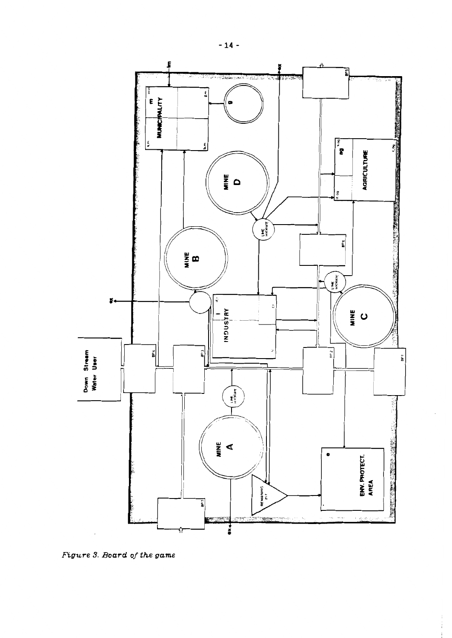

 $\frac{1}{4}$ 

*figure* **3.** *Board of the game*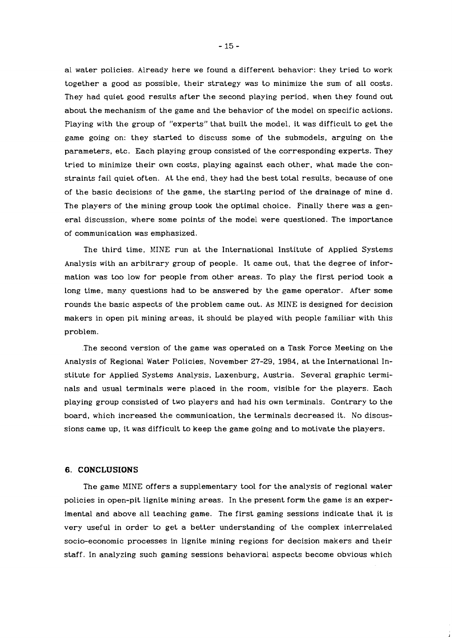a1 water policies. Already here we found a different behavior: they tried to work together a good as possible, their strategy was to minimize the sum of all costs. They had quiet good results after the second playing period, when they found out about the mechanism of the game and the behavior of the model on specific actions. Playing with the group of "experts" that built the model, it was difficult to get the game going on: they started to discuss some of the submodels, arguing on the parameters, etc. Each playing group consisted of the corresponding experts. They tried to minimize their own costs, playing against each other, what made the constraints fail quiet often. At the end, they had the best total results, because of one of the basic decisions of the game, the starting period of the drainage of mine d. The players of the mining group took the optimal choice. Finally there was a general discussion, where some points of the model were questioned. The importance of communication was emphasized.

The third time, MINE run at the International Institute of Applied Systems Analysis with an arbitrary group of people. It came out, that the degree of information was too low for people from other areas. To play the first period took a long time, many questions had to be answered by the game operator. After some rounds the basic aspects of the problem came out. As MINE is designed for decision makers in open pit mining areas, it should be played with people familiar with this problem.

.The second version of the game was operated on a Task Force Meeting on the Analysis of Regional Water Policies, November 27-29, 1984, at the International Institute for Applied Systems Analysis, Laxenburg, Austria. Several graphic terminals and usual terminals were placed in the room, visible for the players. Each playing group consisted of two players and had his own terminals. Contrary to the board, which increased the communication, the terminals decreased it. No discussions came up, it was difficult to keep the game going and to motivate the players.

#### **6. CONCLUSIONS**

The game MINE offers a supplementary tool for the analysis of regional water policies in open-pit lignite mining areas. In the present form the game is an experimental and above all teaching game. The first gaming sessions indicate that it is very useful in order to get a better understanding of the complex interrelated socio-economic processes in lignite mining regions for decision makers and their staff. In analyzing such gaming sessions behavioral aspects become obvious which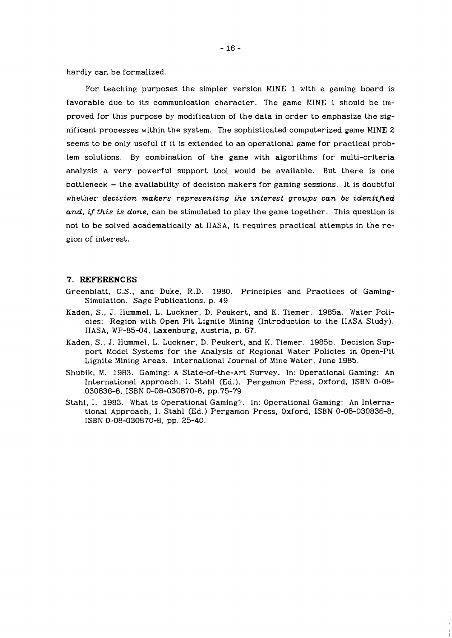hardiy can be formalized.

For teaching purposes the simpler version MINE 1 with a gaming board is favorable due to its communication character. The game MINE 1 should be improved for this purpose by modification of the data in order to emphasize the significant processes within the system. The sophisticated computerized game MINE 2 seems to be only useful if it is extended to an operational game for practical problem solutions. By combination of the game with algorithms for multi-criteria analysis a very powerful support tool would be available. But there is one  $b$ ottleneck  $-$  the availability of decision makers for gaming sessions. It is doubtful whether *decision makers representing the interest groups can be identified*  and, if this is done, can be stimulated to play the game together. This question is not to be solved academatically at IIASA, it requires practical attempts in the region of interest.

# **7. REFERENCES**

- Greenblatt, C.S., and Duke, R.D. 1980. Principles and Practices of Gaming-Simulation. Sage Publications. p. 49
- Kaden, S., J. Hummel, L. Luckner, D. Peukert, and K. Tiemer. 1985a. Water Policies: Region with Open Pit Lignite Mining (Introduction to the IIASA Study). IIASA, WP-85-04, Laxenburg, Austria, p. 67.
- Kaden, S., J. Hummel, L. Luckner, D. Peukert, and K. Tiemer. 1985b. Decision Support Model Systems for the Analysis of Regional Water Policies in Open-Pit Lignite Mining Areas. International Journal of Mine Water, June 1985.
- Shubik, M. 1983. Gaming: A State-of-the-Art Survey. In: Operational Gaming: An International Approach, I. Stahl (Ed.). Pergamon Press, Oxford, ISBN 0-08- 030836-8, ISBN 0-08-030870-8, pp.75-79
- Stahl, I. 1983. What is Operational Gaming?. In: Operational Gaming: An International Approach, I. Stahl (Ed.) Pergamon Press, Oxford, ISBN 0-08-030836-8, ISBN 0-08-030870-8, pp. 25-40.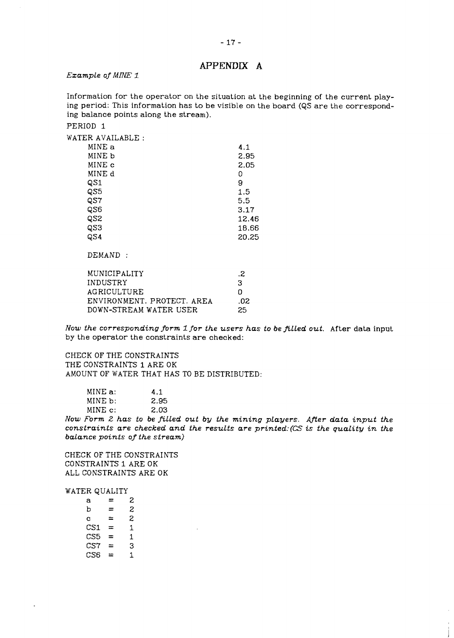# **APPENDIX A**

## *Example of MINE 1*

Information for the operator on the situation at the beginning of the current playing period: This information has to be visible on the board (QS are the corresponding balance points along the stream).

## PERIOD 1

| WATER AVAILABLE:           |       |
|----------------------------|-------|
| MINE a                     | 4.1   |
| MINE b                     | 2.95  |
| MINE c                     | 2.05  |
| MINE d                     | 0     |
| QS1                        | 9     |
| QS5                        | 1.5   |
| QS7                        | 5.5   |
| QS6                        | 3.17  |
| QS2                        | 12.46 |
| QS3                        | 18.66 |
| QS4                        | 20.25 |
| DEMAND:                    |       |
| MUNICIPALITY               | .2    |
| INDUSTRY                   | 3     |
| AGRICULTURE                | 0     |
| ENVIRONMENT. PROTECT. AREA | .02   |
| DOWN-STREAM WATER USER     | 25    |
|                            |       |

*Now the corresponding form 1 for the users has to be filled out.* After data input by the operator the constraints are checked:

CHECK OF THE CONSTRAINTS THE CONSTRAINTS 1 ARE OK AMOUNT OF WATER THAT HAS TO BE DISTRIBUTED:

| MINE a: | 4.1  |
|---------|------|
| MINE b: | 2.95 |
| MINE c: | 2.03 |

Now Form 2 has to be filled out by the mining players. After data input the *constraints are checked and the results are printed:(CS is the quality in the balance points of the stream]* 

CHECK OF THE CONSTRAINTS CONSTRAINTS 1 ARE OK ALL CONSTRAINTS ARE OK

WATER QUALITY

| а               | ⋍        | 2 |  |
|-----------------|----------|---|--|
| b               | ≕        | 2 |  |
| $\mathbf{c}$    | =        | 2 |  |
| CS <sub>1</sub> | $=$      | 1 |  |
| CS <sub>5</sub> | =        | 1 |  |
| CS7             | =        | 3 |  |
| CS <sub>6</sub> | $\equiv$ | 1 |  |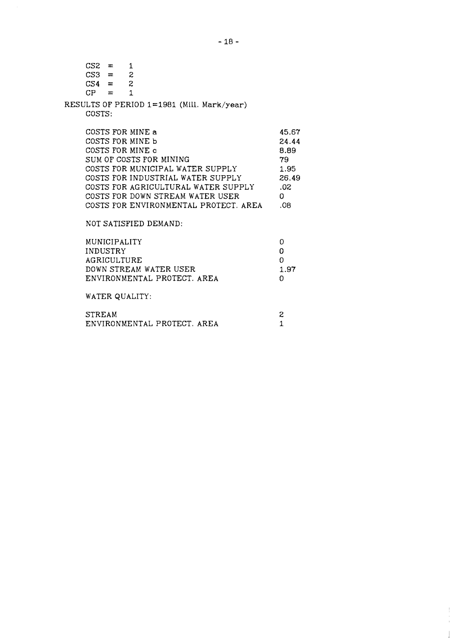| $CS2 =$ | $CS3 = 2$<br>$CS4 = 2$                  | 1                                                                                                                                                                                                                                                                                |                                                                    |
|---------|-----------------------------------------|----------------------------------------------------------------------------------------------------------------------------------------------------------------------------------------------------------------------------------------------------------------------------------|--------------------------------------------------------------------|
| COSTS:  | $CP =$                                  | $\mathbf{1}$<br>RESULTS OF PERIOD 1=1981 (Mill. Mark/year)                                                                                                                                                                                                                       |                                                                    |
|         |                                         | COSTS FOR MINE a<br>COSTS FOR MINE b<br>COSTS FOR MINE c<br>SUM OF COSTS FOR MINING<br>COSTS FOR MUNICIPAL WATER SUPPLY<br>COSTS FOR INDUSTRIAL WATER SUPPLY<br>COSTS FOR AGRICULTURAL WATER SUPPLY<br>COSTS FOR DOWN STREAM WATER USER<br>COSTS FOR ENVIRONMENTAL PROTECT, AREA | 45.67<br>24.44<br>8.89<br>79.<br>1.95<br>26.49<br>.02<br>0.<br>.08 |
|         | MUNICIPALITY<br>INDUSTRY<br>AGRICULTURE | NOT SATISFIED DEMAND:<br>DOWN STREAM WATER USER<br>ENVIRONMENTAL PROTECT. AREA<br>WATER QUALITY:                                                                                                                                                                                 | 0<br>0<br>$\Omega$<br>1.97<br>O                                    |
|         |                                         |                                                                                                                                                                                                                                                                                  |                                                                    |

| STREAM                      |  |
|-----------------------------|--|
| ENVIRONMENTAL PROTECT. AREA |  |

 $\frac{1}{2}$  $\frac{1}{4}$  $\Big\}$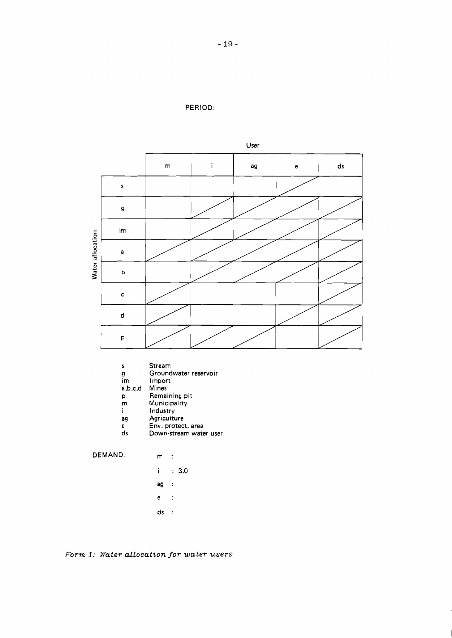



- $\mathsf{s}$ **Stream**
- g **Groundwater reservoir**
- im **l mport**
- $a,b,c,d$ **Mines**
- $\mathsf{p}$ **Remaining pit**
- $\mathsf m$
- **Municipality**  l **ndustry**  i.
- ag **Agriculture**
- $\mathbf{e}$ **Env. protect. area**
- $ds$ **Down-stream water user**

**DEMAND: m** :

 $\therefore$  3.0  $\mathbf{i}$  .

- $\frac{1}{2}$ ag
- $\mathbf{e}$  $\sim$  1.
- $\mathsf{ds} \quad :$

*Form 1: Water aLLocation for water users*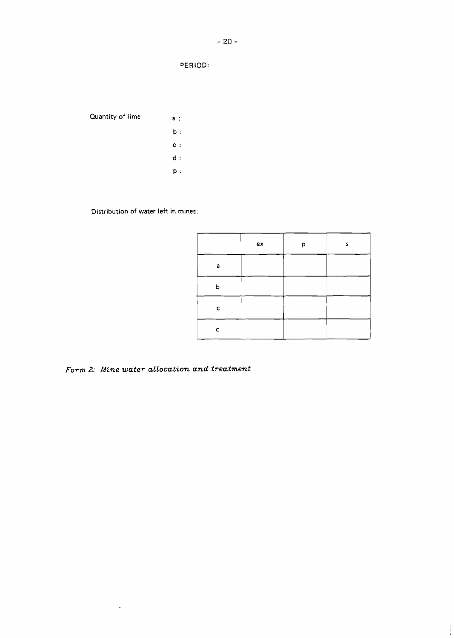PERIOD:

**Quantity of lime: a** :

- **b** :
- **<sup>C</sup>**:  $d$  :
- **P:**

**Distribution of water left in mines:** 

|   | ex | Þ | s |
|---|----|---|---|
| a |    |   |   |
| h |    |   |   |
| с |    |   |   |
| d |    |   |   |

 $\bar{z}$ 

 $\vdots$ 

*Form 2: Mine water allocation and treatment* 

 $\mathcal{L}^{(1)}$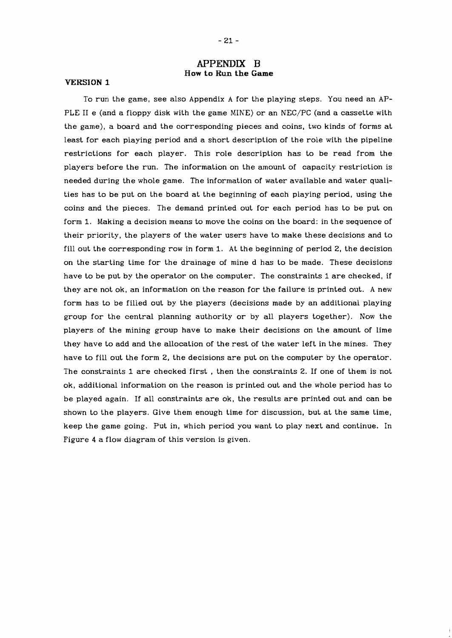# **APPENDIX B How to Run the Game**

#### **VERSION 1**

To run the game, see also Appendix A for the playing steps. You need an AP-PLE **I1** e (and a floppy disk with the game MINE) or an NEC/PC (and a cassette with the game), a board and the corresponding pieces and coins, two kinds of forms at least for each playing period and a short description of the role with the pipeline restrictions for each player. This role description has to be read from the players before the run. The information on the amount of capacity restriction is needed during the whole game. The information of water available and water qualities has to be put on the board at the beginning of each playing period, using the coins and the pieces. The demand printed out for each period has to be put on form 1. Making a decision means to move the coins on the board: in the sequence of their priority, the players of the water users have to make these decisions and to fill out the corresponding row in form 1. At the beginning of period 2, the decision on the starting time for the drainage of mine d has to be made. These decisions have to be put by the operator on the computer. The constraints 1 are checked, if they are not ok, an information on the reason for the failure is printed out. A new form has to be filled out by the players (decisions made by an additional playing group for the central planning authority or by all players together). Now the players of the mining group have to make their decisions on the amount of lime they have to add and the allocation of the rest of the water left in the mines. They have to fill out the form 2, the decisions are put on the computer by the operator. The constraints 1 are checked first , then the constraints 2. If one of them is not ok, additional information on the reason is printed out and the whole period has to be played again. If all constraints are ok, the results are printed out and can be shown to the players. Give them enough time for discussion, but at the same time, keep the game going. Put in, which period you want to play next and continue. In Figure 4 a flow diagram of this version is given.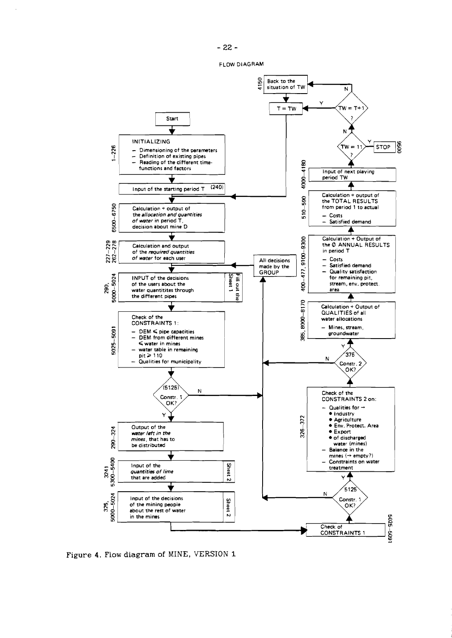FLOW DIAGRAM



Figure 4. Flow **diagram** of MINE, VERSION 1